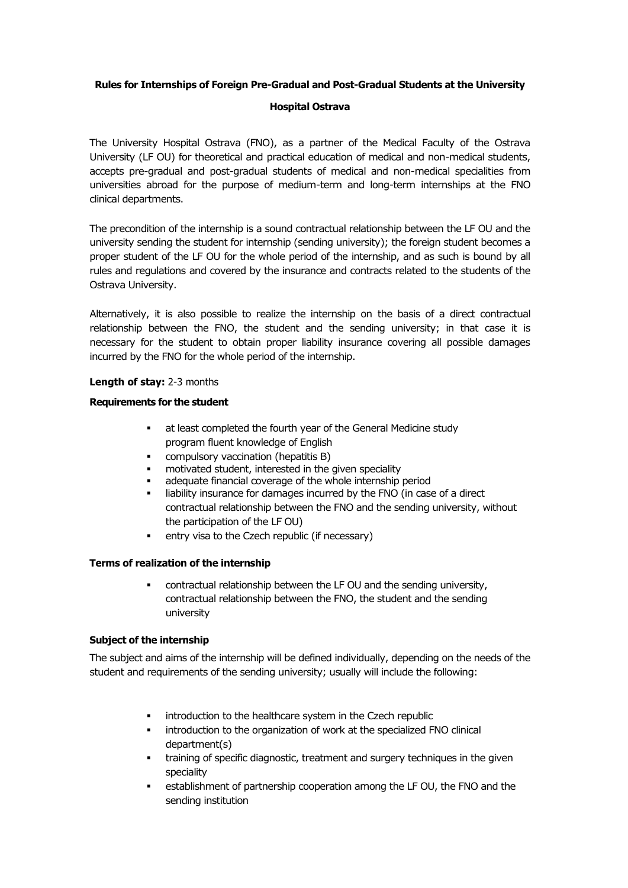# **Rules for Internships of Foreign Pre-Gradual and Post-Gradual Students at the University**

## **Hospital Ostrava**

The University Hospital Ostrava (FNO), as a partner of the Medical Faculty of the Ostrava University (LF OU) for theoretical and practical education of medical and non-medical students, accepts pre-gradual and post-gradual students of medical and non-medical specialities from universities abroad for the purpose of medium-term and long-term internships at the FNO clinical departments.

The precondition of the internship is a sound contractual relationship between the LF OU and the university sending the student for internship (sending university); the foreign student becomes a proper student of the LF OU for the whole period of the internship, and as such is bound by all rules and regulations and covered by the insurance and contracts related to the students of the Ostrava University.

Alternatively, it is also possible to realize the internship on the basis of a direct contractual relationship between the FNO, the student and the sending university; in that case it is necessary for the student to obtain proper liability insurance covering all possible damages incurred by the FNO for the whole period of the internship.

# **Length of stay:** 2-3 months

# **Requirements for the student**

- at least completed the fourth year of the General Medicine study program fluent knowledge of English
- compulsory vaccination (hepatitis B)
- motivated student, interested in the given speciality
- adequate financial coverage of the whole internship period
- **EXEDENT** liability insurance for damages incurred by the FNO (in case of a direct contractual relationship between the FNO and the sending university, without the participation of the LF OU)
- entry visa to the Czech republic (if necessary)

## **Terms of realization of the internship**

■ contractual relationship between the LF OU and the sending university, contractual relationship between the FNO, the student and the sending university

## **Subject of the internship**

The subject and aims of the internship will be defined individually, depending on the needs of the student and requirements of the sending university; usually will include the following:

- introduction to the healthcare system in the Czech republic
- introduction to the organization of work at the specialized FNO clinical department(s)
- training of specific diagnostic, treatment and surgery techniques in the given speciality
- **•** establishment of partnership cooperation among the LF OU, the FNO and the sending institution